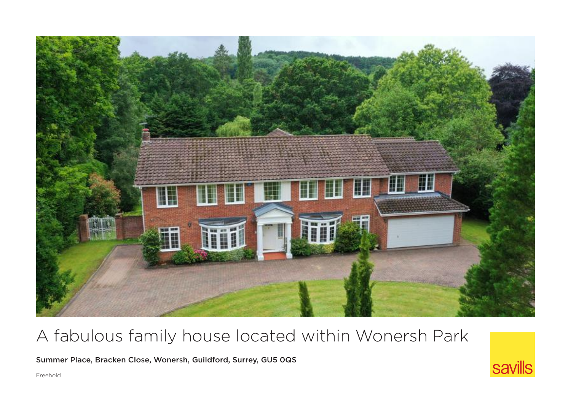

# A fabulous family house located within Wonersh Park

Summer Place, Bracken Close, Wonersh, Guildford, Surrey, GU5 0QS



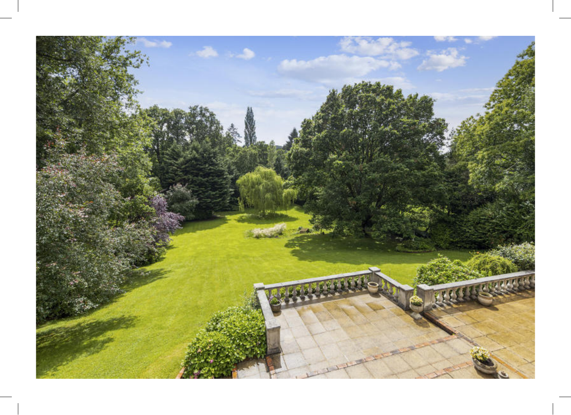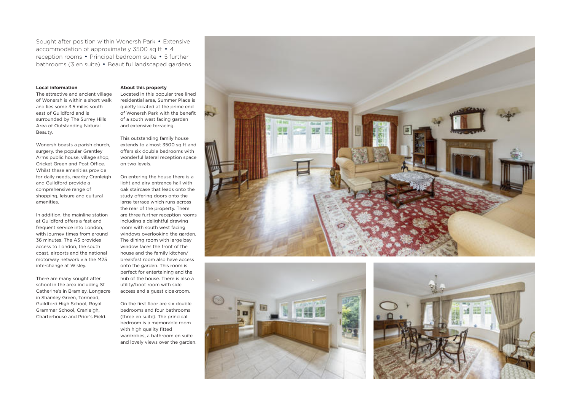Sought after position within Wonersh Park • Extensive accommodation of approximately 3500 sq ft • 4 reception rooms • Principal bedroom suite • 5 further bathrooms (3 en suite) • Beautiful landscaped gardens

#### **Local information**

The attractive and ancient village of Wonersh is within a short walk and lies some 3.5 miles south east of Guildford and is surrounded by The Surrey Hills Area of Outstanding Natural Beauty.

Wonersh boasts a parish church, surgery, the popular Grantley Arms public house, village shop, Cricket Green and Post Office. Whilst these amenities provide for daily needs, nearby Cranleigh and Guildford provide a comprehensive range of shopping, leisure and cultural amenities.

In addition, the mainline station at Guildford offers a fast and frequent service into London, with journey times from around 36 minutes. The A3 provides access to London, the south coast, airports and the national motorway network via the M25 interchange at Wisley.

There are many sought after school in the area including St Catherine's in Bramley, Longacre in Shamley Green, Tormead, Guildford High School, Royal Grammar School, Cranleigh, Charterhouse and Prior's Field.

#### **About this property**

Located in this popular tree lined residential area, Summer Place is quietly located at the prime end of Wonersh Park with the benefit of a south west facing garden and extensive terracing.

This outstanding family house extends to almost 3500 sq ft and offers six double bedrooms with wonderful lateral reception space on two levels.

On entering the house there is a light and airy entrance hall with oak staircase that leads onto the study offering doors onto the large terrace which runs across the rear of the property. There are three further reception rooms including a delightful drawing room with south west facing windows overlooking the garden. The dining room with large bay window faces the front of the house and the family kitchen/ breakfast room also have access onto the garden. This room is perfect for entertaining and the hub of the house. There is also a utility/boot room with side access and a guest cloakroom.

On the first floor are six double bedrooms and four bathrooms (three en suite). The principal bedroom is a memorable room with high quality fitted wardrobes, a bathroom en suite and lovely views over the garden.





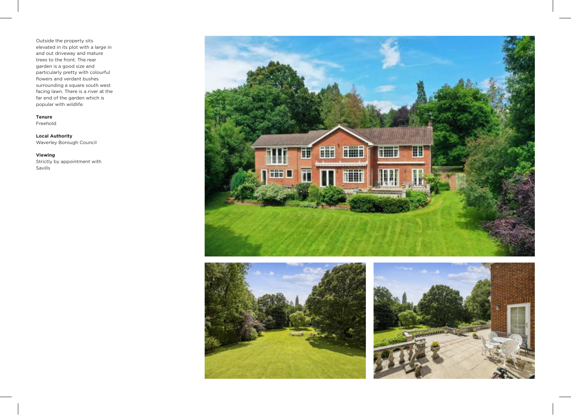Outside the property sits elevated in its plot with a large in and out driveway and mature trees to the front. The rear garden is a good size and particularly pretty with colourful flowers and verdant bushes surrounding a square south west facing lawn. There is a river at the far end of the garden which is popular with wildlife.

## **Tenure**

Freehold

### **Local Authority**

Waverley Borough Council

## **Viewing**

Strictly by appointment with Savills



**ASSIMAL TIME** 

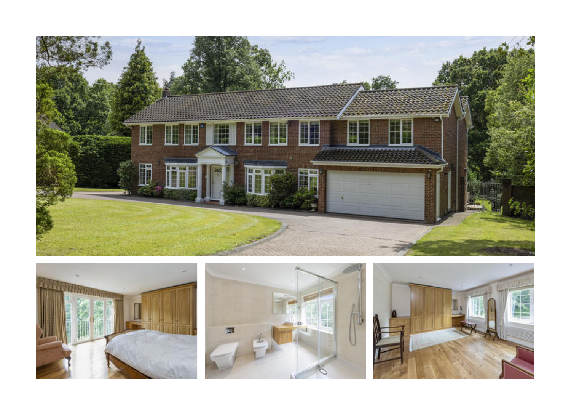